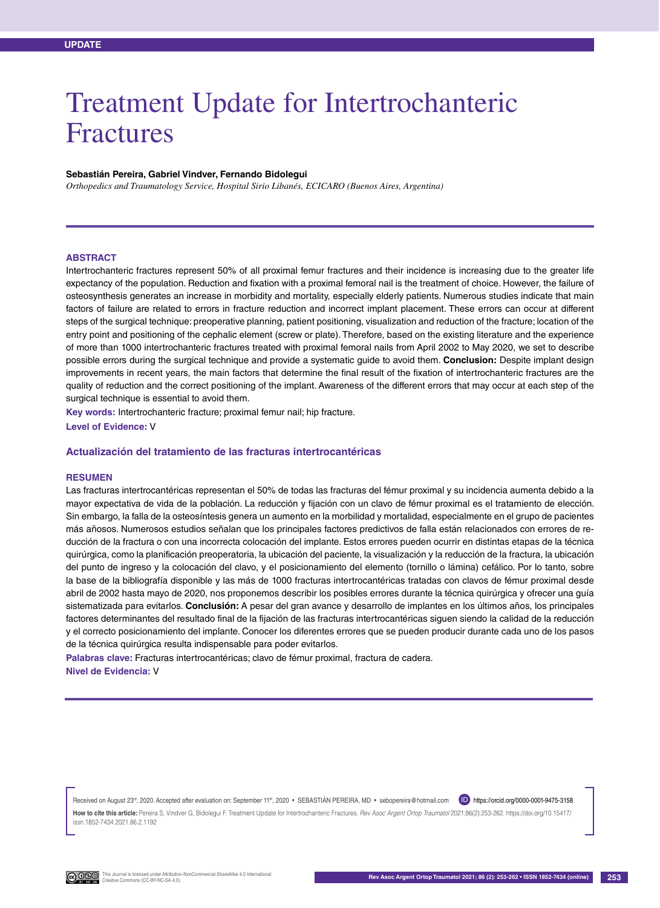# Treatment Update for Intertrochanteric Fractures

#### **Sebastián Pereira, Gabriel Vindver, Fernando Bidolegui**

*Orthopedics and Traumatology Service, Hospital Sirio Libanés, ECICARO (Buenos Aires, Argentina)*

#### **Abstract**

Intertrochanteric fractures represent 50% of all proximal femur fractures and their incidence is increasing due to the greater life expectancy of the population. Reduction and fixation with a proximal femoral nail is the treatment of choice. However, the failure of osteosynthesis generates an increase in morbidity and mortality, especially elderly patients. Numerous studies indicate that main factors of failure are related to errors in fracture reduction and incorrect implant placement. These errors can occur at different steps of the surgical technique: preoperative planning, patient positioning, visualization and reduction of the fracture; location of the entry point and positioning of the cephalic element (screw or plate). Therefore, based on the existing literature and the experience of more than 1000 intertrochanteric fractures treated with proximal femoral nails from April 2002 to May 2020, we set to describe possible errors during the surgical technique and provide a systematic guide to avoid them. **Conclusion:** Despite implant design improvements in recent years, the main factors that determine the final result of the fixation of intertrochanteric fractures are the quality of reduction and the correct positioning of the implant. Awareness of the different errors that may occur at each step of the surgical technique is essential to avoid them.

**Key words:** Intertrochanteric fracture; proximal femur nail; hip fracture. **Level of Evidence:** V

#### **Actualización del tratamiento de las fracturas intertrocantéricas**

#### **Resumen**

Las fracturas intertrocantéricas representan el 50% de todas las fracturas del fémur proximal y su incidencia aumenta debido a la mayor expectativa de vida de la población. La reducción y fijación con un clavo de fémur proximal es el tratamiento de elección. Sin embargo, la falla de la osteosíntesis genera un aumento en la morbilidad y mortalidad, especialmente en el grupo de pacientes más añosos. Numerosos estudios señalan que los principales factores predictivos de falla están relacionados con errores de reducción de la fractura o con una incorrecta colocación del implante. Estos errores pueden ocurrir en distintas etapas de la técnica quirúrgica, como la planificación preoperatoria, la ubicación del paciente, la visualización y la reducción de la fractura, la ubicación del punto de ingreso y la colocación del clavo, y el posicionamiento del elemento (tornillo o lámina) cefálico. Por lo tanto, sobre la base de la bibliografía disponible y las más de 1000 fracturas intertrocantéricas tratadas con clavos de fémur proximal desde abril de 2002 hasta mayo de 2020, nos proponemos describir los posibles errores durante la técnica quirúrgica y ofrecer una guía sistematizada para evitarlos. **Conclusión:** A pesar del gran avance y desarrollo de implantes en los últimos años, los principales factores determinantes del resultado final de la fijación de las fracturas intertrocantéricas siguen siendo la calidad de la reducción y el correcto posicionamiento del implante. Conocer los diferentes errores que se pueden producir durante cada uno de los pasos de la técnica quirúrgica resulta indispensable para poder evitarlos.

**Palabras clave:** Fracturas intertrocantéricas; clavo de fémur proximal, fractura de cadera. **Nivel de Evidencia:** V

Received on August 23<sup>rd</sup>, 2020. Accepted after evaluation on: September 11<sup>th</sup>, 2020 • SEBASTIÁN PEREIRA, MD • sebopereira@hotmail.com Dhttps://orcid.org/0000-0001-9475-3158 **How to cite this article:** Pereira S, Vindver G, Bidolegui F. Treatment Update for Intertrochanteric Fractures. *Rev Asoc Argent Ortop Traumatol* 2021;86(2):253-262. https://doi.org/10.15417/ issn.1852-7434.2021.86.2.1192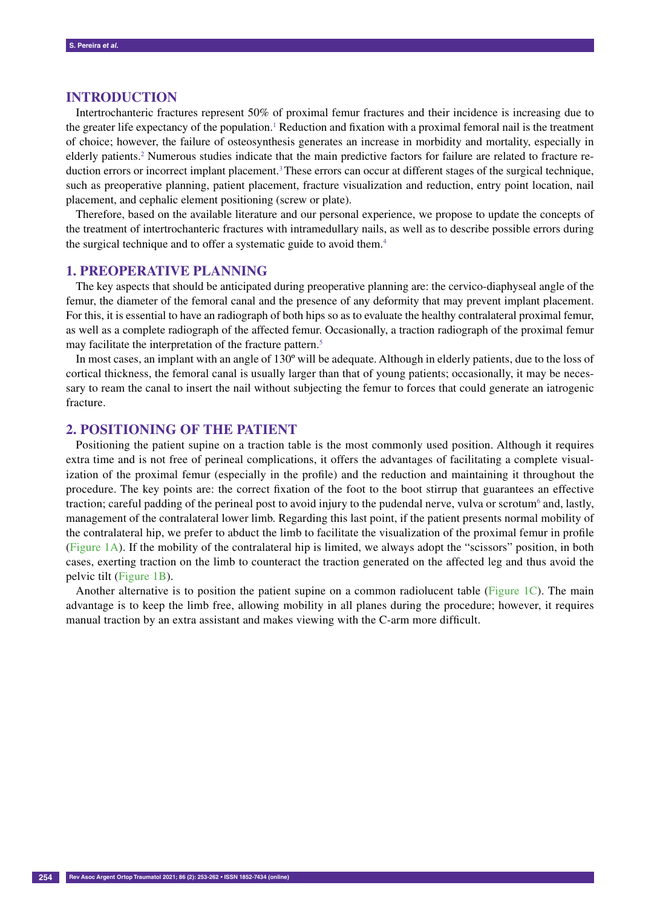## **Introduction**

Intertrochanteric fractures represent 50% of proximal femur fractures and their incidence is increasing due to the greater life expectancy of the population.<sup>1</sup> Reduction and fixation with a proximal femoral nail is the treatment of choice; however, the failure of osteosynthesis generates an increase in morbidity and mortality, especially in elderly patients.<sup>2</sup> Numerous studies indicate that the main predictive factors for failure are related to fracture reduction errors or incorrect implant placement.<sup>3</sup> These errors can occur at different stages of the surgical technique, such as preoperative planning, patient placement, fracture visualization and reduction, entry point location, nail placement, and cephalic element positioning (screw or plate).

Therefore, based on the available literature and our personal experience, we propose to update the concepts of the treatment of intertrochanteric fractures with intramedullary nails, as well as to describe possible errors during the surgical technique and to offer a systematic guide to avoid them.<sup>4</sup>

#### **1. Preoperative planning**

The key aspects that should be anticipated during preoperative planning are: the cervico-diaphyseal angle of the femur, the diameter of the femoral canal and the presence of any deformity that may prevent implant placement. For this, it is essential to have an radiograph of both hips so as to evaluate the healthy contralateral proximal femur, as well as a complete radiograph of the affected femur. Occasionally, a traction radiograph of the proximal femur may facilitate the interpretation of the fracture pattern.<sup>5</sup>

In most cases, an implant with an angle of 130º will be adequate. Although in elderly patients, due to the loss of cortical thickness, the femoral canal is usually larger than that of young patients; occasionally, it may be necessary to ream the canal to insert the nail without subjecting the femur to forces that could generate an iatrogenic fracture.

## **2. Positioning of the patient**

Positioning the patient supine on a traction table is the most commonly used position. Although it requires extra time and is not free of perineal complications, it offers the advantages of facilitating a complete visualization of the proximal femur (especially in the profile) and the reduction and maintaining it throughout the procedure. The key points are: the correct fixation of the foot to the boot stirrup that guarantees an effective traction; careful padding of the perineal post to avoid injury to the pudendal nerve, vulva or scrotum<sup>6</sup> and, lastly, management of the contralateral lower limb. Regarding this last point, if the patient presents normal mobility of the contralateral hip, we prefer to abduct the limb to facilitate the visualization of the proximal femur in profile (Figure 1A). If the mobility of the contralateral hip is limited, we always adopt the "scissors" position, in both cases, exerting traction on the limb to counteract the traction generated on the affected leg and thus avoid the pelvic tilt (Figure 1B).

Another alternative is to position the patient supine on a common radiolucent table (Figure 1C). The main advantage is to keep the limb free, allowing mobility in all planes during the procedure; however, it requires manual traction by an extra assistant and makes viewing with the C-arm more difficult.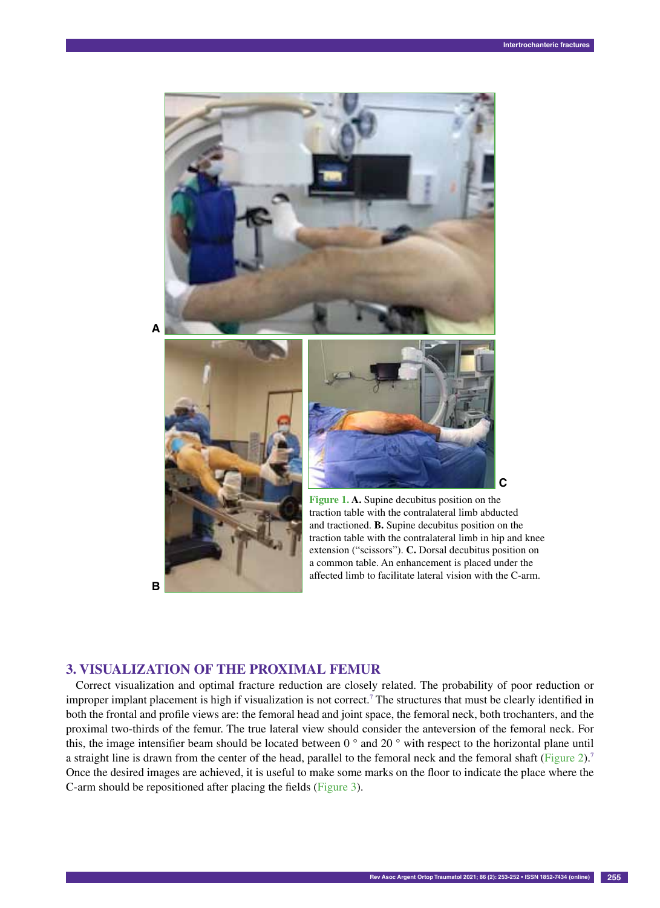

## **B**

traction table with the contralateral limb abducted and tractioned. **B.** Supine decubitus position on the traction table with the contralateral limb in hip and knee extension ("scissors"). **C.** Dorsal decubitus position on a common table. An enhancement is placed under the affected limb to facilitate lateral vision with the C-arm.

## **3. Visualization of the proximal femur**

Correct visualization and optimal fracture reduction are closely related. The probability of poor reduction or improper implant placement is high if visualization is not correct.<sup>7</sup> The structures that must be clearly identified in both the frontal and profile views are: the femoral head and joint space, the femoral neck, both trochanters, and the proximal two-thirds of the femur. The true lateral view should consider the anteversion of the femoral neck. For this, the image intensifier beam should be located between  $0^\circ$  and  $20^\circ$  with respect to the horizontal plane until a straight line is drawn from the center of the head, parallel to the femoral neck and the femoral shaft (Figure 2).<sup>7</sup> Once the desired images are achieved, it is useful to make some marks on the floor to indicate the place where the C-arm should be repositioned after placing the fields (Figure 3).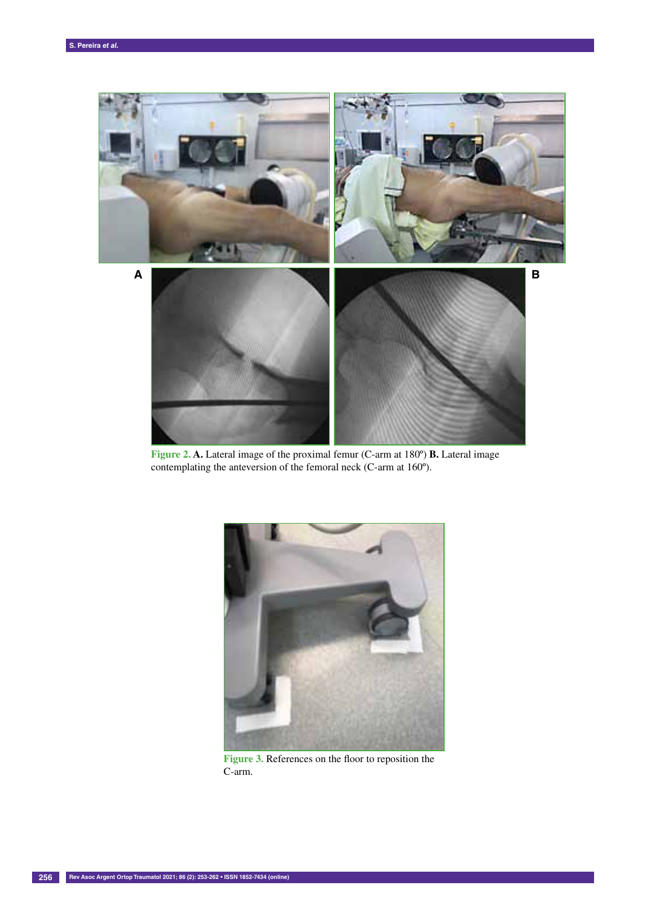

**Figure 2. A.** Lateral image of the proximal femur (C-arm at 180º) **B.** Lateral image contemplating the anteversion of the femoral neck (C-arm at 160º).



**Figure 3.** References on the floor to reposition the C-arm.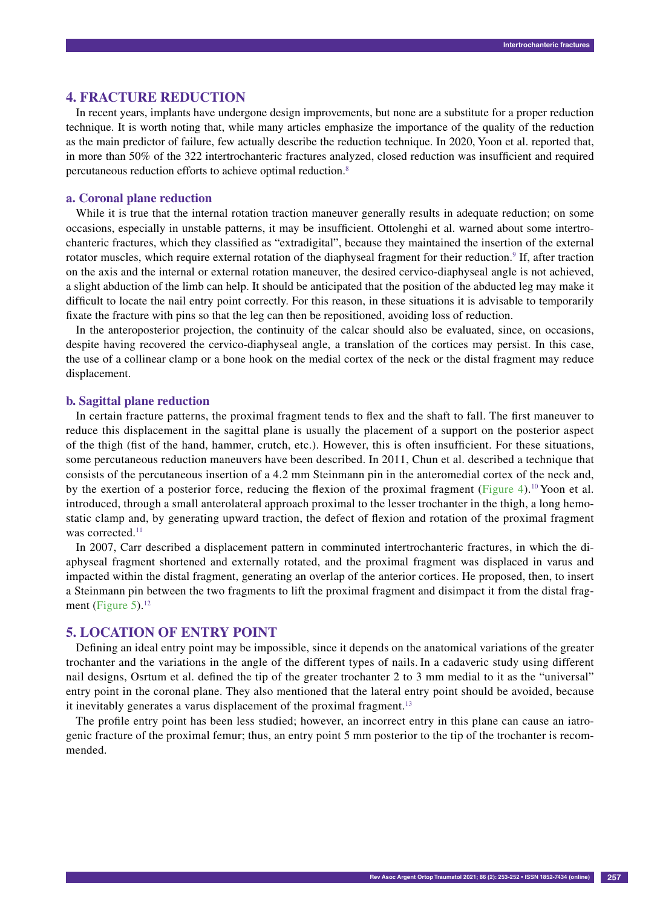#### **4. Fracture reduction**

In recent years, implants have undergone design improvements, but none are a substitute for a proper reduction technique. It is worth noting that, while many articles emphasize the importance of the quality of the reduction as the main predictor of failure, few actually describe the reduction technique. In 2020, Yoon et al. reported that, in more than 50% of the 322 intertrochanteric fractures analyzed, closed reduction was insufficient and required percutaneous reduction efforts to achieve optimal reduction.8

#### **a. Coronal plane reduction**

While it is true that the internal rotation traction maneuver generally results in adequate reduction; on some occasions, especially in unstable patterns, it may be insufficient. Ottolenghi et al. warned about some intertrochanteric fractures, which they classified as "extradigital", because they maintained the insertion of the external rotator muscles, which require external rotation of the diaphyseal fragment for their reduction.<sup>9</sup> If, after traction on the axis and the internal or external rotation maneuver, the desired cervico-diaphyseal angle is not achieved, a slight abduction of the limb can help. It should be anticipated that the position of the abducted leg may make it difficult to locate the nail entry point correctly. For this reason, in these situations it is advisable to temporarily fixate the fracture with pins so that the leg can then be repositioned, avoiding loss of reduction.

In the anteroposterior projection, the continuity of the calcar should also be evaluated, since, on occasions, despite having recovered the cervico-diaphyseal angle, a translation of the cortices may persist. In this case, the use of a collinear clamp or a bone hook on the medial cortex of the neck or the distal fragment may reduce displacement.

## **b. Sagittal plane reduction**

In certain fracture patterns, the proximal fragment tends to flex and the shaft to fall. The first maneuver to reduce this displacement in the sagittal plane is usually the placement of a support on the posterior aspect of the thigh (fist of the hand, hammer, crutch, etc.). However, this is often insufficient. For these situations, some percutaneous reduction maneuvers have been described. In 2011, Chun et al. described a technique that consists of the percutaneous insertion of a 4.2 mm Steinmann pin in the anteromedial cortex of the neck and, by the exertion of a posterior force, reducing the flexion of the proximal fragment (Figure 4).<sup>10</sup> Yoon et al. introduced, through a small anterolateral approach proximal to the lesser trochanter in the thigh, a long hemostatic clamp and, by generating upward traction, the defect of flexion and rotation of the proximal fragment was corrected.<sup>11</sup>

In 2007, Carr described a displacement pattern in comminuted intertrochanteric fractures, in which the diaphyseal fragment shortened and externally rotated, and the proximal fragment was displaced in varus and impacted within the distal fragment, generating an overlap of the anterior cortices. He proposed, then, to insert a Steinmann pin between the two fragments to lift the proximal fragment and disimpact it from the distal fragment (Figure 5).<sup>12</sup>

#### **5. Location of entry point**

Defining an ideal entry point may be impossible, since it depends on the anatomical variations of the greater trochanter and the variations in the angle of the different types of nails. In a cadaveric study using different nail designs, Osrtum et al. defined the tip of the greater trochanter 2 to 3 mm medial to it as the "universal" entry point in the coronal plane. They also mentioned that the lateral entry point should be avoided, because it inevitably generates a varus displacement of the proximal fragment.<sup>13</sup>

The profile entry point has been less studied; however, an incorrect entry in this plane can cause an iatrogenic fracture of the proximal femur; thus, an entry point 5 mm posterior to the tip of the trochanter is recommended.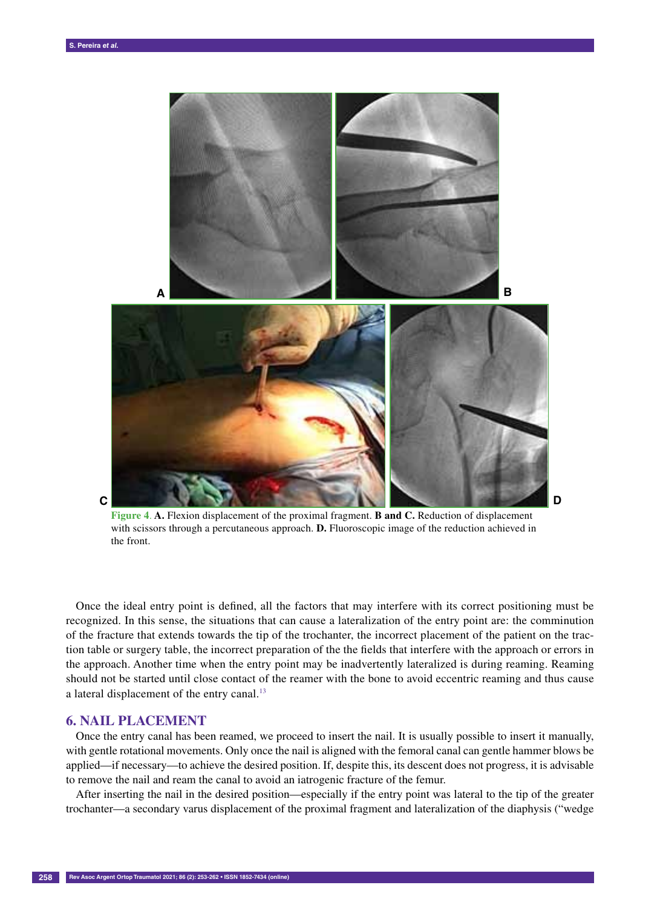

**Figure 4**. **A.** Flexion displacement of the proximal fragment. **B and C.** Reduction of displacement with scissors through a percutaneous approach. **D.** Fluoroscopic image of the reduction achieved in the front.

Once the ideal entry point is defined, all the factors that may interfere with its correct positioning must be recognized. In this sense, the situations that can cause a lateralization of the entry point are: the comminution of the fracture that extends towards the tip of the trochanter, the incorrect placement of the patient on the traction table or surgery table, the incorrect preparation of the the fields that interfere with the approach or errors in the approach. Another time when the entry point may be inadvertently lateralized is during reaming. Reaming should not be started until close contact of the reamer with the bone to avoid eccentric reaming and thus cause a lateral displacement of the entry canal.<sup>13</sup>

## **6. Nail placement**

**C**

Once the entry canal has been reamed, we proceed to insert the nail. It is usually possible to insert it manually, with gentle rotational movements. Only once the nail is aligned with the femoral canal can gentle hammer blows be applied—if necessary—to achieve the desired position. If, despite this, its descent does not progress, it is advisable to remove the nail and ream the canal to avoid an iatrogenic fracture of the femur.

After inserting the nail in the desired position—especially if the entry point was lateral to the tip of the greater trochanter—a secondary varus displacement of the proximal fragment and lateralization of the diaphysis ("wedge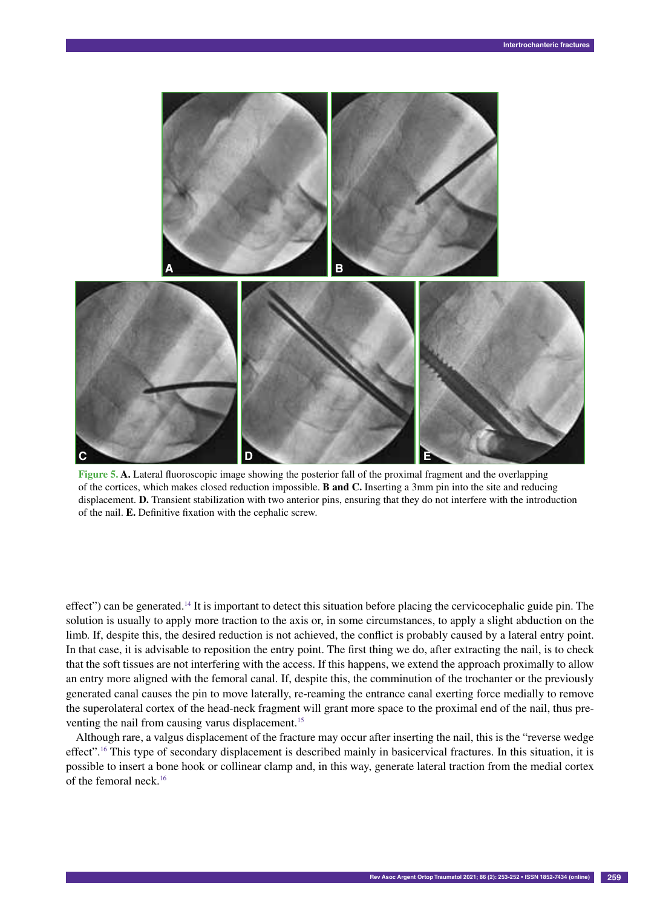

**Figure 5. A.** Lateral fluoroscopic image showing the posterior fall of the proximal fragment and the overlapping of the cortices, which makes closed reduction impossible. **B and C.** Inserting a 3mm pin into the site and reducing displacement. **D.** Transient stabilization with two anterior pins, ensuring that they do not interfere with the introduction of the nail. **E.** Definitive fixation with the cephalic screw.

effect") can be generated.14 It is important to detect this situation before placing the cervicocephalic guide pin. The solution is usually to apply more traction to the axis or, in some circumstances, to apply a slight abduction on the limb. If, despite this, the desired reduction is not achieved, the conflict is probably caused by a lateral entry point. In that case, it is advisable to reposition the entry point. The first thing we do, after extracting the nail, is to check that the soft tissues are not interfering with the access. If this happens, we extend the approach proximally to allow an entry more aligned with the femoral canal. If, despite this, the comminution of the trochanter or the previously generated canal causes the pin to move laterally, re-reaming the entrance canal exerting force medially to remove the superolateral cortex of the head-neck fragment will grant more space to the proximal end of the nail, thus preventing the nail from causing varus displacement.<sup>15</sup>

Although rare, a valgus displacement of the fracture may occur after inserting the nail, this is the "reverse wedge effect".<sup>16</sup> This type of secondary displacement is described mainly in basicervical fractures. In this situation, it is possible to insert a bone hook or collinear clamp and, in this way, generate lateral traction from the medial cortex of the femoral neck.16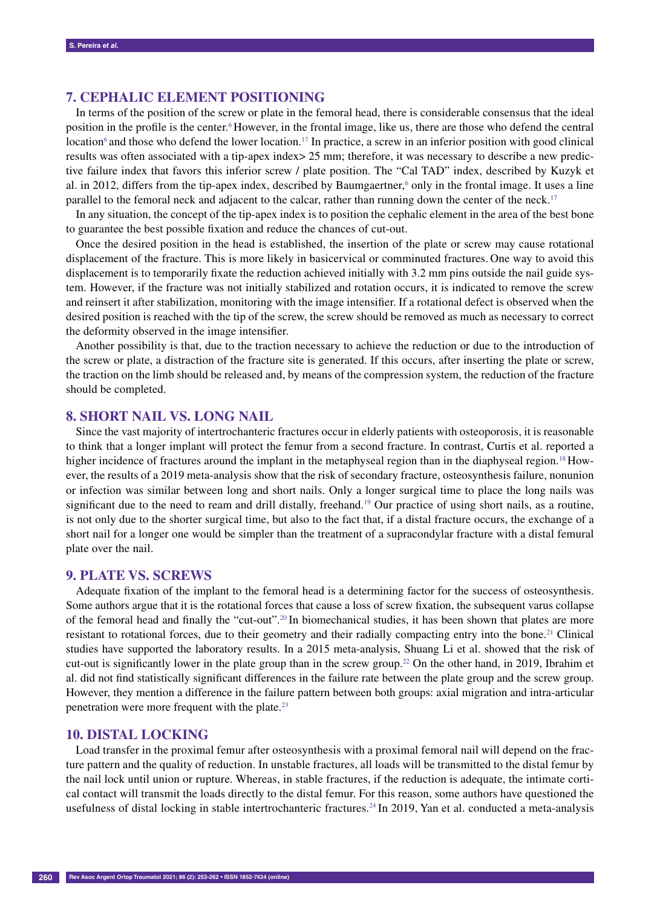## **7. Cephalic element positioning**

In terms of the position of the screw or plate in the femoral head, there is considerable consensus that the ideal position in the profile is the center.<sup>6</sup> However, in the frontal image, like us, there are those who defend the central location<sup>6</sup> and those who defend the lower location.<sup>17</sup> In practice, a screw in an inferior position with good clinical results was often associated with a tip-apex index> 25 mm; therefore, it was necessary to describe a new predictive failure index that favors this inferior screw / plate position. The "Cal TAD" index, described by Kuzyk et al. in 2012, differs from the tip-apex index, described by Baumgaertner,<sup>6</sup> only in the frontal image. It uses a line parallel to the femoral neck and adjacent to the calcar, rather than running down the center of the neck.<sup>17</sup>

In any situation, the concept of the tip-apex index is to position the cephalic element in the area of the best bone to guarantee the best possible fixation and reduce the chances of cut-out.

Once the desired position in the head is established, the insertion of the plate or screw may cause rotational displacement of the fracture. This is more likely in basicervical or comminuted fractures. One way to avoid this displacement is to temporarily fixate the reduction achieved initially with 3.2 mm pins outside the nail guide system. However, if the fracture was not initially stabilized and rotation occurs, it is indicated to remove the screw and reinsert it after stabilization, monitoring with the image intensifier. If a rotational defect is observed when the desired position is reached with the tip of the screw, the screw should be removed as much as necessary to correct the deformity observed in the image intensifier.

Another possibility is that, due to the traction necessary to achieve the reduction or due to the introduction of the screw or plate, a distraction of the fracture site is generated. If this occurs, after inserting the plate or screw, the traction on the limb should be released and, by means of the compression system, the reduction of the fracture should be completed.

# **8. Short nail vs. long nail**

Since the vast majority of intertrochanteric fractures occur in elderly patients with osteoporosis, it is reasonable to think that a longer implant will protect the femur from a second fracture. In contrast, Curtis et al. reported a higher incidence of fractures around the implant in the metaphyseal region than in the diaphyseal region.<sup>18</sup> However, the results of a 2019 meta-analysis show that the risk of secondary fracture, osteosynthesis failure, nonunion or infection was similar between long and short nails. Only a longer surgical time to place the long nails was significant due to the need to ream and drill distally, freehand.<sup>19</sup> Our practice of using short nails, as a routine, is not only due to the shorter surgical time, but also to the fact that, if a distal fracture occurs, the exchange of a short nail for a longer one would be simpler than the treatment of a supracondylar fracture with a distal femural plate over the nail.

#### **9. Plate vs. screws**

Adequate fixation of the implant to the femoral head is a determining factor for the success of osteosynthesis. Some authors argue that it is the rotational forces that cause a loss of screw fixation, the subsequent varus collapse of the femoral head and finally the "cut-out".20 In biomechanical studies, it has been shown that plates are more resistant to rotational forces, due to their geometry and their radially compacting entry into the bone.21 Clinical studies have supported the laboratory results. In a 2015 meta-analysis, Shuang Li et al. showed that the risk of cut-out is significantly lower in the plate group than in the screw group.<sup>22</sup> On the other hand, in 2019, Ibrahim et al. did not find statistically significant differences in the failure rate between the plate group and the screw group. However, they mention a difference in the failure pattern between both groups: axial migration and intra-articular penetration were more frequent with the plate.23

## **10. Distal locking**

Load transfer in the proximal femur after osteosynthesis with a proximal femoral nail will depend on the fracture pattern and the quality of reduction. In unstable fractures, all loads will be transmitted to the distal femur by the nail lock until union or rupture. Whereas, in stable fractures, if the reduction is adequate, the intimate cortical contact will transmit the loads directly to the distal femur. For this reason, some authors have questioned the usefulness of distal locking in stable intertrochanteric fractures.<sup>24</sup> In 2019, Yan et al. conducted a meta-analysis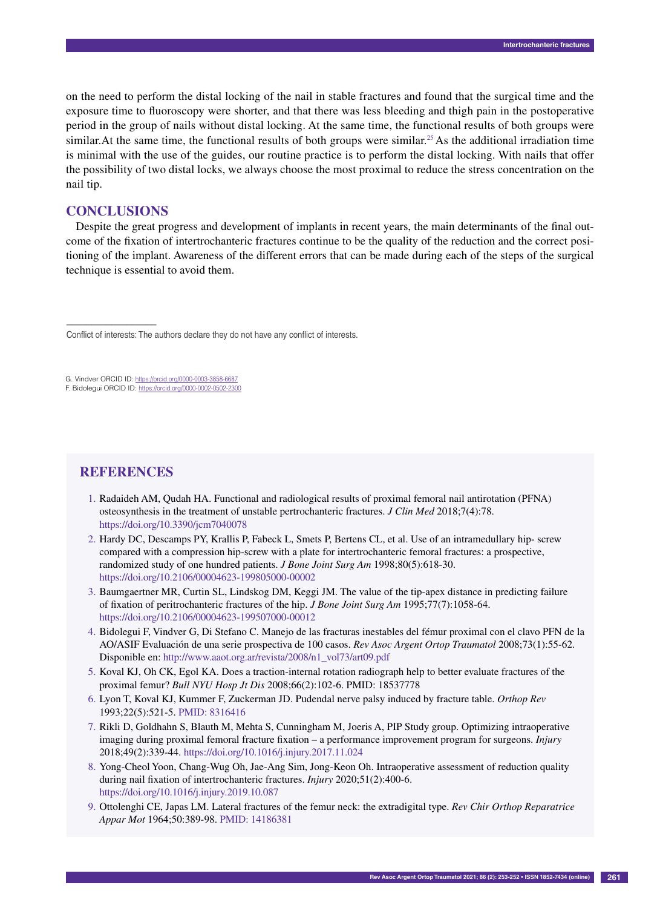on the need to perform the distal locking of the nail in stable fractures and found that the surgical time and the exposure time to fluoroscopy were shorter, and that there was less bleeding and thigh pain in the postoperative period in the group of nails without distal locking. At the same time, the functional results of both groups were similar. At the same time, the functional results of both groups were similar.<sup>25</sup> As the additional irradiation time is minimal with the use of the guides, our routine practice is to perform the distal locking. With nails that offer the possibility of two distal locks, we always choose the most proximal to reduce the stress concentration on the nail tip.

## **Conclusions**

Despite the great progress and development of implants in recent years, the main determinants of the final outcome of the fixation of intertrochanteric fractures continue to be the quality of the reduction and the correct positioning of the implant. Awareness of the different errors that can be made during each of the steps of the surgical technique is essential to avoid them.

# **References**

- 1. Radaideh AM, Qudah HA. Functional and radiological results of proximal femoral nail antirotation (PFNA) osteosynthesis in the treatment of unstable pertrochanteric fractures. *J Clin Med* 2018;7(4):78. https://doi.org/10.3390/jcm7040078
- 2. Hardy DC, Descamps PY, Krallis P, Fabeck L, Smets P, Bertens CL, et al. Use of an intramedullary hip- screw compared with a compression hip-screw with a plate for intertrochanteric femoral fractures: a prospective, randomized study of one hundred patients. *J Bone Joint Surg Am* 1998;80(5):618-30. https://doi.org/10.2106/00004623-199805000-00002
- 3. Baumgaertner MR, Curtin SL, Lindskog DM, Keggi JM. The value of the tip-apex distance in predicting failure of fixation of peritrochanteric fractures of the hip. *J Bone Joint Surg Am* 1995;77(7):1058-64. https://doi.org/10.2106/00004623-199507000-00012
- 4. Bidolegui F, Vindver G, Di Stefano C. Manejo de las fracturas inestables del fémur proximal con el clavo PFN de la AO/ASIF Evaluación de una serie prospectiva de 100 casos. *Rev Asoc Argent Ortop Traumatol* 2008;73(1):55-62. Disponible en: http://www.aaot.org.ar/revista/2008/n1\_vol73/art09.pdf
- 5. Koval KJ, Oh CK, Egol KA. Does a traction-internal rotation radiograph help to better evaluate fractures of the proximal femur? *Bull NYU Hosp Jt Dis* 2008;66(2):102-6. PMID: 18537778
- 6. Lyon T, Koval KJ, Kummer F, Zuckerman JD. Pudendal nerve palsy induced by fracture table. *Orthop Rev* 1993;22(5):521-5. PMID: 8316416
- 7. Rikli D, Goldhahn S, Blauth M, Mehta S, Cunningham M, Joeris A, PIP Study group. Optimizing intraoperative imaging during proximal femoral fracture fixation – a performance improvement program for surgeons. *Injury* 2018;49(2):339-44. https://doi.org/10.1016/j.injury.2017.11.024
- 8. Yong-Cheol Yoon, Chang-Wug Oh, Jae-Ang Sim, Jong-Keon Oh. Intraoperative assessment of reduction quality during nail fixation of intertrochanteric fractures. *Injury* 2020;51(2):400-6. https://doi.org/10.1016/j.injury.2019.10.087
- 9. Ottolenghi CE, Japas LM. Lateral fractures of the femur neck: the extradigital type. *Rev Chir Orthop Reparatrice Appar Mot* 1964;50:389-98. PMID: 14186381

<sup>––––––––––––––––––</sup> Conflict of interests: The authors declare they do not have any conflict of interests.

G. Vindver ORCID ID: https://orcid.org/0000-0003-3858-6687

F. Bidolegui ORCID ID: https://orcid.org/0000-0002-0502-2300